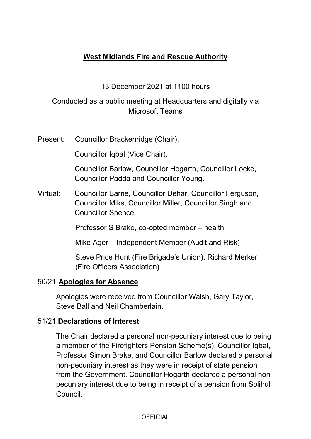# **West Midlands Fire and Rescue Authority**

#### 13 December 2021 at 1100 hours

### Conducted as a public meeting at Headquarters and digitally via Microsoft Teams

Present: Councillor Brackenridge (Chair),

Councillor Iqbal (Vice Chair),

Councillor Barlow, Councillor Hogarth, Councillor Locke, Councillor Padda and Councillor Young.

Virtual: Councillor Barrie, Councillor Dehar, Councillor Ferguson, Councillor Miks, Councillor Miller, Councillor Singh and Councillor Spence

Professor S Brake, co-opted member – health

Mike Ager – Independent Member (Audit and Risk)

Steve Price Hunt (Fire Brigade's Union), Richard Merker (Fire Officers Association)

#### 50/21 **Apologies for Absence**

Apologies were received from Councillor Walsh, Gary Taylor, Steve Ball and Neil Chamberlain.

#### 51/21 **Declarations of Interest**

The Chair declared a personal non-pecuniary interest due to being a member of the Firefighters Pension Scheme(s). Councillor Iqbal, Professor Simon Brake, and Councillor Barlow declared a personal non-pecuniary interest as they were in receipt of state pension from the Government. Councillor Hogarth declared a personal nonpecuniary interest due to being in receipt of a pension from Solihull Council.

**OFFICIAL**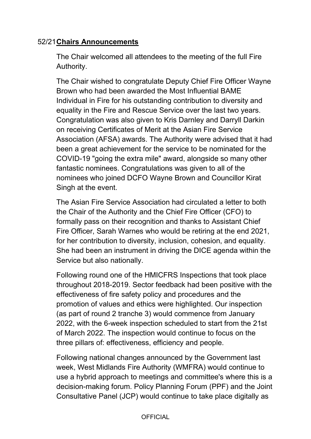### 52/21 **Chairs Announcements**

The Chair welcomed all attendees to the meeting of the full Fire Authority.

The Chair wished to congratulate Deputy Chief Fire Officer Wayne Brown who had been awarded the Most Influential BAME Individual in Fire for his outstanding contribution to diversity and equality in the Fire and Rescue Service over the last two years. Congratulation was also given to Kris Darnley and Darryll Darkin on receiving Certificates of Merit at the Asian Fire Service Association (AFSA) awards. The Authority were advised that it had been a great achievement for the service to be nominated for the COVID-19 "going the extra mile" award, alongside so many other fantastic nominees. Congratulations was given to all of the nominees who joined DCFO Wayne Brown and Councillor Kirat Singh at the event.

The Asian Fire Service Association had circulated a letter to both the Chair of the Authority and the Chief Fire Officer (CFO) to formally pass on their recognition and thanks to Assistant Chief Fire Officer, Sarah Warnes who would be retiring at the end 2021, for her contribution to diversity, inclusion, cohesion, and equality. She had been an instrument in driving the DICE agenda within the Service but also nationally.

Following round one of the HMICFRS Inspections that took place throughout 2018-2019. Sector feedback had been positive with the effectiveness of fire safety policy and procedures and the promotion of values and ethics were highlighted. Our inspection (as part of round 2 tranche 3) would commence from January 2022, with the 6-week inspection scheduled to start from the 21st of March 2022. The inspection would continue to focus on the three pillars of: effectiveness, efficiency and people.

Following national changes announced by the Government last week, West Midlands Fire Authority (WMFRA) would continue to use a hybrid approach to meetings and committee's where this is a decision-making forum. Policy Planning Forum (PPF) and the Joint Consultative Panel (JCP) would continue to take place digitally as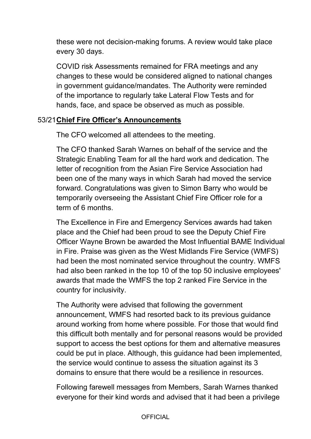these were not decision-making forums. A review would take place every 30 days.

COVID risk Assessments remained for FRA meetings and any changes to these would be considered aligned to national changes in government guidance/mandates. The Authority were reminded of the importance to regularly take Lateral Flow Tests and for hands, face, and space be observed as much as possible.

#### 53/21 **Chief Fire Officer's Announcements**

The CFO welcomed all attendees to the meeting.

The CFO thanked Sarah Warnes on behalf of the service and the Strategic Enabling Team for all the hard work and dedication. The letter of recognition from the Asian Fire Service Association had been one of the many ways in which Sarah had moved the service forward. Congratulations was given to Simon Barry who would be temporarily overseeing the Assistant Chief Fire Officer role for a term of 6 months.

The Excellence in Fire and Emergency Services awards had taken place and the Chief had been proud to see the Deputy Chief Fire Officer Wayne Brown be awarded the Most Influential BAME Individual in Fire. Praise was given as the West Midlands Fire Service (WMFS) had been the most nominated service throughout the country. WMFS had also been ranked in the top 10 of the top 50 inclusive employees' awards that made the WMFS the top 2 ranked Fire Service in the country for inclusivity.

The Authority were advised that following the government announcement, WMFS had resorted back to its previous guidance around working from home where possible. For those that would find this difficult both mentally and for personal reasons would be provided support to access the best options for them and alternative measures could be put in place. Although, this guidance had been implemented, the service would continue to assess the situation against its 3 domains to ensure that there would be a resilience in resources.

Following farewell messages from Members, Sarah Warnes thanked everyone for their kind words and advised that it had been a privilege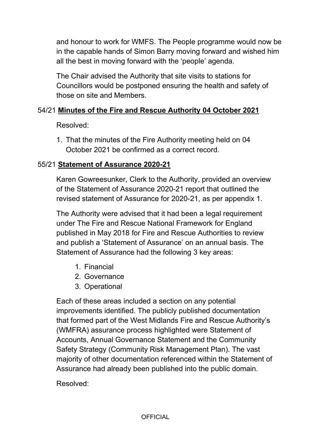and honour to work for WMFS. The People programme would now be in the capable hands of Simon Barry moving forward and wished him all the best in moving forward with the 'people' agenda.

The Chair advised the Authority that site visits to stations for Councillors would be postponed ensuring the health and safety of those on site and Members.

#### 54/21 **Minutes of the Fire and Rescue Authority 04 October 2021**

Resolved:

1. That the minutes of the Fire Authority meeting held on 04 October 2021 be confirmed as a correct record.

### 55/21 **Statement of Assurance 2020-21**

Karen Gowreesunker, Clerk to the Authority, provided an overview of the Statement of Assurance 2020-21 report that outlined the revised statement of Assurance for 2020-21, as per appendix 1.

The Authority were advised that it had been a legal requirement under The Fire and Rescue National Framework for England published in May 2018 for Fire and Rescue Authorities to review and publish a 'Statement of Assurance' on an annual basis. The Statement of Assurance had the following 3 key areas:

- 1. Financial
- 2. Governance
- 3. Operational

Each of these areas included a section on any potential improvements identified. The publicly published documentation that formed part of the West Midlands Fire and Rescue Authority's (WMFRA) assurance process highlighted were Statement of Accounts, Annual Governance Statement and the Community Safety Strategy (Community Risk Management Plan). The vast majority of other documentation referenced within the Statement of Assurance had already been published into the public domain.

Resolved: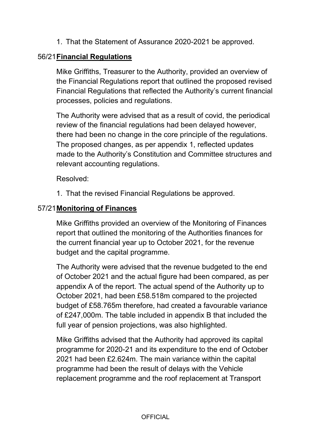1. That the Statement of Assurance 2020-2021 be approved.

### 56/21 **Financial Regulations**

Mike Griffiths, Treasurer to the Authority, provided an overview of the Financial Regulations report that outlined the proposed revised Financial Regulations that reflected the Authority's current financial processes, policies and regulations.

The Authority were advised that as a result of covid, the periodical review of the financial regulations had been delayed however, there had been no change in the core principle of the regulations. The proposed changes, as per appendix 1, reflected updates made to the Authority's Constitution and Committee structures and relevant accounting regulations.

Resolved:

1. That the revised Financial Regulations be approved.

### 57/21 **Monitoring of Finances**

Mike Griffiths provided an overview of the Monitoring of Finances report that outlined the monitoring of the Authorities finances for the current financial year up to October 2021, for the revenue budget and the capital programme.

The Authority were advised that the revenue budgeted to the end of October 2021 and the actual figure had been compared, as per appendix A of the report. The actual spend of the Authority up to October 2021, had been £58.518m compared to the projected budget of £58.765m therefore, had created a favourable variance of £247,000m. The table included in appendix B that included the full year of pension projections, was also highlighted.

Mike Griffiths advised that the Authority had approved its capital programme for 2020-21 and its expenditure to the end of October 2021 had been £2.624m. The main variance within the capital programme had been the result of delays with the Vehicle replacement programme and the roof replacement at Transport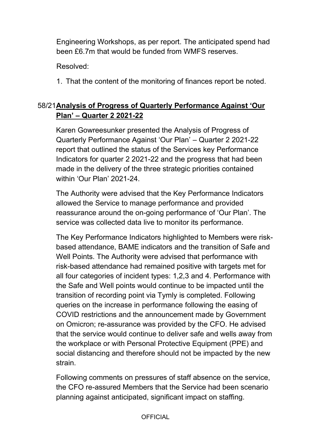Engineering Workshops, as per report. The anticipated spend had been £6.7m that would be funded from WMFS reserves.

Resolved:

1. That the content of the monitoring of finances report be noted.

## 58/21**Analysis of Progress of Quarterly Performance Against 'Our Plan' – Quarter 2 2021-22**

Karen Gowreesunker presented the Analysis of Progress of Quarterly Performance Against 'Our Plan' – Quarter 2 2021-22 report that outlined the status of the Services key Performance Indicators for quarter 2 2021-22 and the progress that had been made in the delivery of the three strategic priorities contained within 'Our Plan' 2021-24.

The Authority were advised that the Key Performance Indicators allowed the Service to manage performance and provided reassurance around the on-going performance of 'Our Plan'. The service was collected data live to monitor its performance.

The Key Performance Indicators highlighted to Members were riskbased attendance, BAME indicators and the transition of Safe and Well Points. The Authority were advised that performance with risk-based attendance had remained positive with targets met for all four categories of incident types: 1,2,3 and 4. Performance with the Safe and Well points would continue to be impacted until the transition of recording point via Tymly is completed. Following queries on the increase in performance following the easing of COVID restrictions and the announcement made by Government on Omicron; re-assurance was provided by the CFO. He advised that the service would continue to deliver safe and wells away from the workplace or with Personal Protective Equipment (PPE) and social distancing and therefore should not be impacted by the new strain.

Following comments on pressures of staff absence on the service, the CFO re-assured Members that the Service had been scenario planning against anticipated, significant impact on staffing.

**OFFICIAL**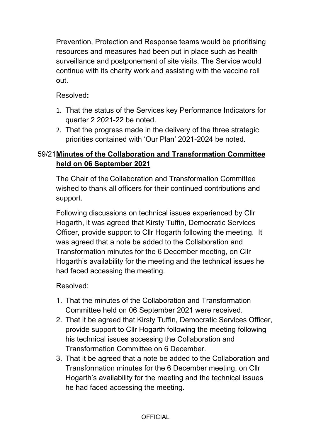Prevention, Protection and Response teams would be prioritising resources and measures had been put in place such as health surveillance and postponement of site visits. The Service would continue with its charity work and assisting with the vaccine roll out.

Resolved**:** 

- 1. That the status of the Services key Performance Indicators for quarter 2 2021-22 be noted.
- 2. That the progress made in the delivery of the three strategic priorities contained with 'Our Plan' 2021-2024 be noted.

# 59/21 **Minutes of the Collaboration and Transformation Committee held on 06 September 2021**

The Chair of the Collaboration and Transformation Committee wished to thank all officers for their continued contributions and support.

Following discussions on technical issues experienced by Cllr Hogarth, it was agreed that Kirsty Tuffin, Democratic Services Officer, provide support to Cllr Hogarth following the meeting. It was agreed that a note be added to the Collaboration and Transformation minutes for the 6 December meeting, on Cllr Hogarth's availability for the meeting and the technical issues he had faced accessing the meeting.

Resolved:

- 1. That the minutes of the Collaboration and Transformation Committee held on 06 September 2021 were received.
- 2. That it be agreed that Kirsty Tuffin, Democratic Services Officer, provide support to Cllr Hogarth following the meeting following his technical issues accessing the Collaboration and Transformation Committee on 6 December.
- 3. That it be agreed that a note be added to the Collaboration and Transformation minutes for the 6 December meeting, on Cllr Hogarth's availability for the meeting and the technical issues he had faced accessing the meeting.